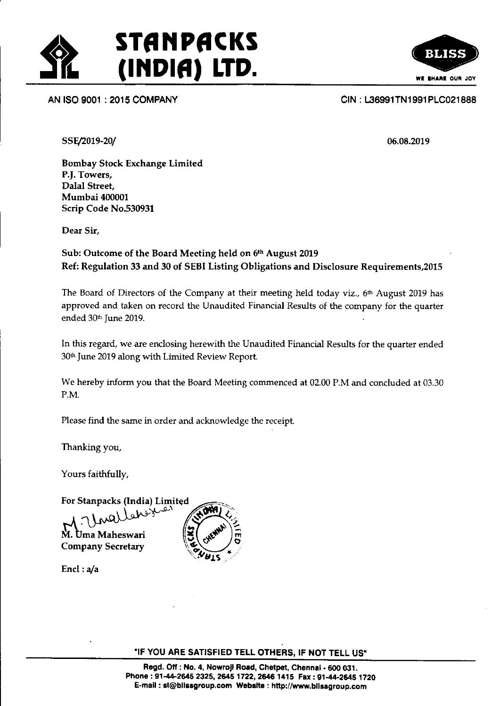

#### AN ISO 9001 : 2015 COMPANY CIN : t36991TNl 991 PLC021 888

SSE/2019-20/

05.08.2019

Bombay Stock Exchange Limited P.J. Towers, Dalal Street, Mumbai 400001 Scrip Code No.530931

Dear Sir,

### Sub: Outcome of the Board Meeting held on 6<sup>th</sup> August 2019 Ref: Regulation 33 and 30 of SEBI Listing Obligations and Disclosure Requirements,20l5

The Board of Directors of the Company at their meeting held today viz., 6<sup>th</sup> August 2019 has approved and taken on record the Unaudited Financial Results of the company for the quarter ended 30<sup>th</sup> June 2019.

In this regard, we are enclosing herewith the Unaudited Financial Results for the quarter ended 30<sup>th</sup> June 2019 along with Limited Review Report.

We hereby inform you that the Board Meeting commenced at 02.00 P.M and concluded at 03.30 P,M.

Please fird the same in order and acknowiedge the receipt.

Thanking you,

Yours faithfully,

For Stanpacks (India) Limited

(هن Uma Maheswari **Company Secretary** 



Encl: $a/a$ 

"IF YOU ARE SATISFIED TELL OTHERS, IF NOT TELL US"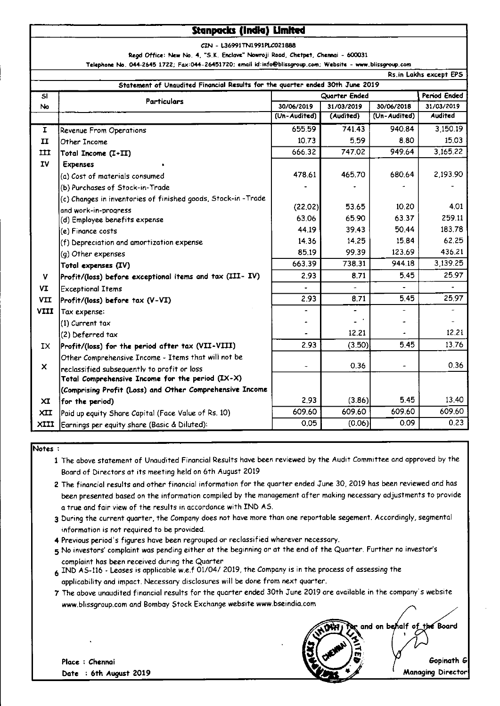### **Stanpacks (India) Limited**

CIN - L36991TN1991PLC021888

Regd Office: New No. 4, "S.K. Enclave" Nowroji Road, Chetpet, Chennai - 600031

Telephone No. 044-2645 1722; Fax:044-26451720; email id:info@blissgroup.com; Website - www.blissgroup.com

| Rs.in Lakhs except EPS                                                        |                                                                                                                 |               |            |              |                |
|-------------------------------------------------------------------------------|-----------------------------------------------------------------------------------------------------------------|---------------|------------|--------------|----------------|
| Statement of Unaudited Financial Results for the quarter ended 30th June 2019 |                                                                                                                 |               |            |              |                |
| SI                                                                            | <b>Particulars</b>                                                                                              | Quarter Ended |            |              | Period Ended   |
| No.                                                                           |                                                                                                                 | 30/06/2019    | 31/03/2019 | 30/06/2018   | 31/03/2019     |
|                                                                               |                                                                                                                 | (Un-Audited)  | (Audited)  | (Un-Audited) | <b>Audited</b> |
| I.                                                                            | Revenue From Operations                                                                                         | 655.59        | 741.43     | 940.84       | 3,150.19       |
| $\mathbf{I}$                                                                  | Other Income                                                                                                    | 10.73         | 5.59       | 8.80         | 15.03          |
| $\pi$                                                                         | Total Income (I+II)                                                                                             | 666.32        | 747.02     | 949.64       | 3.165.22       |
| <b>IV</b>                                                                     | <b>Expenses</b>                                                                                                 |               |            |              |                |
|                                                                               | (a) Cost of materials consumed                                                                                  | 478.61        | 465,70     | 680.64       | 2 193 90       |
|                                                                               | (b) Purchases of Stock-in-Trade                                                                                 |               |            |              |                |
|                                                                               | (c) Changes in inventories of finished goods, Stock-in-Trade                                                    |               |            |              |                |
|                                                                               | and work-in-progress                                                                                            | (22.02)       | 53.65      | 10.20        | 4.01           |
|                                                                               | (d) Employee benefits expense                                                                                   | 63.06         | 65.90      | 63.37        | 259.11         |
|                                                                               | (e) Finance costs                                                                                               | 44.19         | 39.43      | 50.44        | 183.78         |
|                                                                               | (f) Depreciation and amortization expense                                                                       | 14.36         | 14.25      | 15.84        | 62.25          |
|                                                                               | (g) Other expenses                                                                                              | 85.19         | 99.39      | 123.69       | 436.21         |
|                                                                               | Total expenses (IV)                                                                                             | 663.39        | 738.31     | 944.18       | 3.139.25       |
| V                                                                             | $\left \text{Profit}/\text{(loss)}\right.$ before exceptional items and tax $\left(\text{III}-\text{IV}\right)$ | 2.93          | 8.71       | 5.45         | 25.97          |
| VI                                                                            | <b>Exceptional Items</b>                                                                                        |               |            |              |                |
| <b>VII</b>                                                                    | Profit/(loss) before tax (V-VI)                                                                                 | 2.93          | 8.71       | 5.45         | 25.97          |
| <b>VIII</b>                                                                   | Tax expense:                                                                                                    | ä,            |            |              |                |
|                                                                               | (1) Current tax                                                                                                 |               |            |              |                |
|                                                                               | (2) Deferred tax                                                                                                |               | 12.21      |              | 12 21          |
| IX.                                                                           | Profit/(loss) for the period after tax (VII-VIII)                                                               | 2.93          | (3.50)     | 5.45         | 13.76          |
|                                                                               | Other Comprehensive Income - Items that will not be                                                             |               |            |              |                |
| $\boldsymbol{\mathsf{x}}$                                                     | reclassified subsequently to profit or loss                                                                     | ٠             | 0.36       |              | 0.36           |
|                                                                               | Total Comprehensive Income for the period (IX-X)                                                                |               |            |              |                |
|                                                                               | (Comprising Profit (Loss) and Other Comprehensive Income                                                        |               |            |              |                |
| XI                                                                            | for the period)                                                                                                 | 2.93          | (3.86)     | 5.45         | 13.40          |
| <b>XII</b>                                                                    | Paid up equity Share Capital (Face Value of Rs. 10)                                                             | 609.60        | 609.60     | 609.60       | 609.60         |
| XIII                                                                          | Earnings per equity share (Basic & Diluted):                                                                    | 0.05          | (0.06)     | 0.09         | 0.23           |

Notes :

1 The above statement of Unaudited Financial Results have been reviewed by the Audit Committee and approved by the Board of Directors at its meeting held on 6th August 2019

2 The financial results and other financial information for the quarter ended June 30, 2019 has been reviewed and has been presented based on the information compiled by the management after making necessary adjustments to provide a true and fair view of the results in accordance with IND AS.

- 3 During the current quarter, the Company does not have more than one reportable segement. Accordingly, segmental information is not required to be provided.
- 4 Previous period's figures have been regrouped or reclassified wherever necessary.
- 5 No investors' complaint was pending either at the beginning or at the end of the Quarter. Further no investor's complaint has been received during the Quarter
- 6 IND AS-116 Leases is applicable w.e.f 01/04/ 2019, the Company is in the process of assessing the applicability and impact. Necessary disclosures will be done from next quarter.
- 7 The above unaudited financial results for the quarter ended 30th June 2019 are available in the company's website www.blissgroup.com and Bombay Stock Exchange website www.bseindia.com



Place : Chennai Date : 6th August 2019